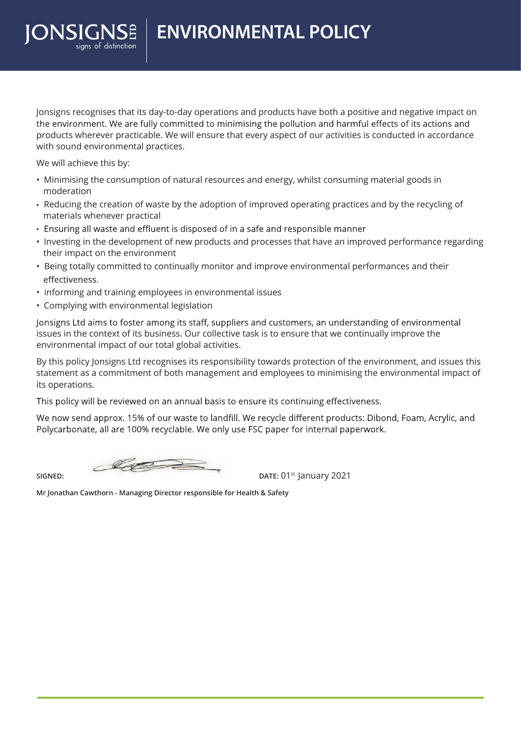**ENVIRONMENTAL POLICY**

Jonsigns recognises that its day-to-day operations and products have both a positive and negative impact on the environment. We are fully committed to minimising the pollution and harmful effects of its actions and products wherever practicable. We will ensure that every aspect of our activities is conducted in accordance with sound environmental practices.

We will achieve this by:

ONSIGNSE

- Minimising the consumption of natural resources and energy, whilst consuming material goods in moderation
- Reducing the creation of waste by the adoption of improved operating practices and by the recycling of materials whenever practical
- Ensuring all waste and effluent is disposed of in a safe and responsible manner
- Investing in the development of new products and processes that have an improved performance regarding their impact on the environment
- Being totally committed to continually monitor and improve environmental performances and their effectiveness.
- informing and training employees in environmental issues
- Complying with environmental legislation

Jonsigns Ltd aims to foster among its staff, suppliers and customers, an understanding of environmental issues in the context of its business. Our collective task is to ensure that we continually improve the environmental impact of our total global activities.

By this policy Jonsigns Ltd recognises its responsibility towards protection of the environment, and issues this statement as a commitment of both management and employees to minimising the environmental impact of its operations.

This policy will be reviewed on an annual basis to ensure its continuing effectiveness.

We now send approx. 15% of our waste to landfill. We recycle different products: Dibond, Foam, Acrylic, and Polycarbonate, all are 100% recyclable. We only use FSC paper for internal paperwork.

 $\mathscr{Q}$ 

**SIGNED: DATE:** 01<sup>st</sup> January 2021

**Mr Jonathan Cawthorn - Managing Director responsible for Health & Safety**